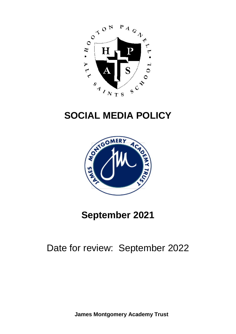

# **SOCIAL MEDIA POLICY**



# **September 2021**

### Date for review: September 2022

**James Montgomery Academy Trust**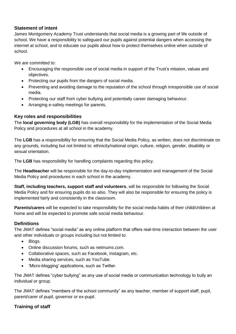#### **Statement of intent**

James Montgomery Academy Trust understands that social media is a growing part of life outside of school. We have a responsibility to safeguard our pupils against potential dangers when accessing the internet at school, and to educate our pupils about how to protect themselves online when outside of school.

We are committed to:

- Encouraging the responsible use of social media in support of the Trust's mission, values and objectives.
- Protecting our pupils from the dangers of social media.
- Preventing and avoiding damage to the reputation of the school through irresponsible use of social media.
- Protecting our staff from cyber bullying and potentially career damaging behaviour.
- Arranging e-safety meetings for parents.

#### **Key roles and responsibilities**

The **local governing body (LGB)** has overall responsibility for the implementation of the Social Media Policy and procedures at all school in the academy.

The **LGB** has a responsibility for ensuring that the Social Media Policy, as written, does not discriminate on any grounds, including but not limited to: ethnicity/national origin, culture, religion, gender, disability or sexual orientation.

The **LGB** has responsibility for handling complaints regarding this policy.

The **Headteacher** will be responsible for the day-to-day implementation and management of the Social Media Policy and procedures in each school in the academy.

**Staff, including teachers, support staff and volunteers**, will be responsible for following the Social Media Policy and for ensuring pupils do so also. They will also be responsible for ensuring the policy is implemented fairly and consistently in the classroom.

**Parents/carers** will be expected to take responsibility for the social media habits of their child/children at home and will be expected to promote safe social media behaviour.

#### **Definitions**

The JMAT defines "social media" as any online platform that offers real-time interaction between the user and other individuals or groups including but not limited to:

- Blogs.
- Online discussion forums, such as netmums.com.
- Collaborative spaces, such as Facebook, Instagram, etc.
- Media sharing services, such as YouTube.
- 'Micro-blogging' applications, such as Twitter.

The JMAT defines "cyber bullying" as any use of social media or communication technology to bully an individual or group.

The JMAT defines "members of the school community" as any teacher, member of support staff, pupil, parent/carer of pupil, governor or ex-pupil.

#### **Training of staff**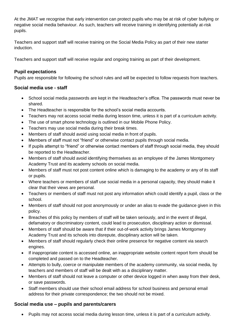At the JMAT we recognise that early intervention can protect pupils who may be at risk of cyber bullying or negative social media behaviour. As such, teachers will receive training in identifying potentially at-risk pupils.

Teachers and support staff will receive training on the Social Media Policy as part of their new starter induction.

Teachers and support staff will receive regular and ongoing training as part of their development.

#### **Pupil expectations**

Pupils are responsible for following the school rules and will be expected to follow requests from teachers.

#### **Social media use - staff**

- School social media passwords are kept in the Headteacher's office. The passwords must never be shared.
- The Headteacher is responsible for the school's social media accounts.
- Teachers may not access social media during lesson time, unless it is part of a curriculum activity.
- The use of smart phone technology is outlined in our Mobile Phone Policy.
- Teachers may use social media during their break times.
- Members of staff should avoid using social media in front of pupils.
- Members of staff must not "friend" or otherwise contact pupils through social media.
- If pupils attempt to "friend" or otherwise contact members of staff through social media, they should be reported to the Headteacher.
- Members of staff should avoid identifying themselves as an employee of the James Montgomery Academy Trust and its academy schools on social media.
- Members of staff must not post content online which is damaging to the academy or any of its staff or pupils.
- Where teachers or members of staff use social media in a personal capacity, they should make it clear that their views are personal.
- Teachers or members of staff must not post any information which could identify a pupil, class or the school.
- Members of staff should not post anonymously or under an alias to evade the guidance given in this policy.
- Breaches of this policy by members of staff will be taken seriously, and in the event of illegal, defamatory or discriminatory content, could lead to prosecution, disciplinary action or dismissal.
- Members of staff should be aware that if their out-of-work activity brings James Montgomery Academy Trust and its schools into disrepute, disciplinary action will be taken.
- Members of staff should regularly check their online presence for negative content via search engines.
- If inappropriate content is accessed online, an inappropriate website content report form should be completed and passed on to the Headteacher.
- Attempts to bully, coerce or manipulate members of the academy community, via social media, by teachers and members of staff will be dealt with as a disciplinary matter.
- Members of staff should not leave a computer or other device logged in when away from their desk, or save passwords.
- Staff members should use their school email address for school business and personal email address for their private correspondence; the two should not be mixed.

### **Social media use – pupils and parents/carers**

Pupils may not access social media during lesson time, unless it is part of a curriculum activity.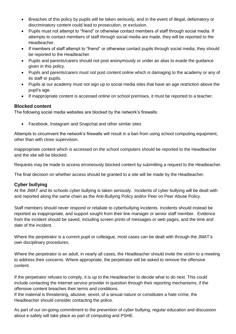- Breaches of this policy by pupils will be taken seriously, and in the event of illegal, defamatory or discriminatory content could lead to prosecution, or exclusion.
- Pupils must not attempt to "friend" or otherwise contact members of staff through social media. If attempts to contact members of staff through social media are made, they will be reported to the Headteacher.
- If members of staff attempt to "friend" or otherwise contact pupils through social media, they should be reported to the Headteacher.
- Pupils and parents/carers should not post anonymously or under an alias to evade the guidance given in this policy.
- Pupils and parents/carers must not post content online which is damaging to the academy or any of its staff or pupils.
- Pupils at our academy must not sign up to social media sites that have an age restriction above the pupil's age.
- If inappropriate content is accessed online on school premises, it must be reported to a teacher.

#### **Blocked content**

The following social media websites are blocked by the network's firewalls:

Facebook, Instagram and Snapchat and other similar sites

Attempts to circumvent the network's firewalls will result in a ban from using school computing equipment, other than with close supervision.

Inappropriate content which is accessed on the school computers should be reported to the Headteacher and the site will be blocked.

Requests may be made to access erroneously blocked content by submitting a request to the Headteacher.

The final decision on whether access should be granted to a site will be made by the Headteacher.

### **Cyber bullying**

At the JMAT and its schools cyber bullying is taken seriously. Incidents of cyber bullying will be dealt with and reported along the same chain as the Anti-Bullying Policy and/or Peer on Peer Abuse Policy.

Staff members should never respond or retaliate to cyberbullying incidents. Incidents should instead be reported as inappropriate, and support sought from their line manager or senior staff member. Evidence from the incident should be saved, including screen prints of messages or web pages, and the time and date of the incident.

Where the perpetrator is a current pupil or colleague, most cases can be dealt with through the JMAT's own disciplinary procedures.

Where the perpetrator is an adult, in nearly all cases, the Headteacher should invite the victim to a meeting to address their concerns. Where appropriate, the perpetrator will be asked to remove the offensive content.

If the perpetrator refuses to comply, it is up to the Headteacher to decide what to do next. This could include contacting the Internet service provider in question through their reporting mechanisms, if the offensive content breaches their terms and conditions.

If the material is threatening, abusive, sexist, of a sexual nature or constitutes a hate crime, the Headteacher should consider contacting the police.

As part of our on-going commitment to the prevention of cyber bullying, regular education and discussion about e-safety will take place as part of computing and PSHE.